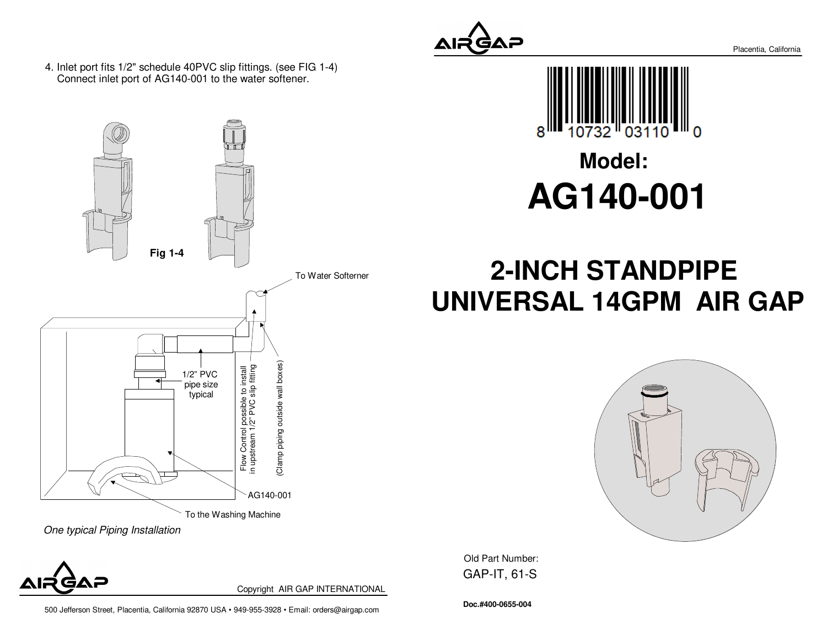4. Inlet port fits 1/2" schedule 40PVC slip fittings. (see FIG 1-4)Connect inlet port of AG140-001 to the water softener.





Copyright AIR GAP INTERNATIONAL

500 Jefferson Street, Placentia, California 92870 USA • 949-955-3928 • Email: orders@airgap.com





# **Model:AG140-001**

# **2-INCH STANDPIPE UNIVERSAL 14GPM AIR GAP**



Old Part Number: GAP-IT, 61-S

**Doc.#400-0655-004**

Placentia, California